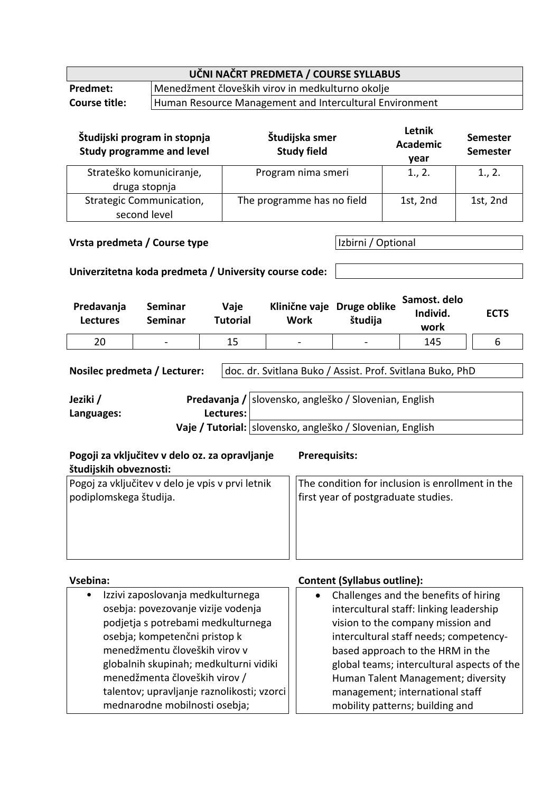| UČNI NAČRT PREDMETA / COURSE SYLLABUS                                           |                                                  |  |  |
|---------------------------------------------------------------------------------|--------------------------------------------------|--|--|
| <b>Predmet:</b>                                                                 | Menedžment človeških virov in medkulturno okolje |  |  |
| Human Resource Management and Intercultural Environment<br><b>Course title:</b> |                                                  |  |  |
|                                                                                 |                                                  |  |  |

| Študijski program in stopnja<br><b>Study programme and level</b> | Študijska smer<br><b>Study field</b> | Letnik<br><b>Academic</b><br>year | <b>Semester</b><br><b>Semester</b> |
|------------------------------------------------------------------|--------------------------------------|-----------------------------------|------------------------------------|
| Strateško komuniciranje,<br>druga stopnja                        | Program nima smeri                   | 1., 2.                            | 1., 2.                             |
| Strategic Communication,<br>second level                         | The programme has no field           | 1st, 2nd                          | 1st, 2nd                           |

### **Vrsta predmeta / Course type IVIS 2018** Izbirni / Optional

### **Univerzitetna koda predmeta / University course code:**

| Predavanja<br><b>Lectures</b> | Seminar<br>Seminar       | Vaje<br><b>Tutorial</b> | Work                     | Klinične vaje Druge oblike<br>študija | Samost. delo<br>Individ.<br>work | <b>ECTS</b> |
|-------------------------------|--------------------------|-------------------------|--------------------------|---------------------------------------|----------------------------------|-------------|
| 20                            | $\overline{\phantom{0}}$ | 15                      | $\overline{\phantom{0}}$ |                                       | 145                              |             |

**Nosilec predmeta / Lecturer:** doc. dr. Svitlana Buko / Assist. Prof. Svitlana Buko, PhD **Jeziki / Languages: Predavanja /** | slovensko, angleško / Slovenian, English **Lectures:**

Vaje / Tutorial: slovensko, angleško / Slovenian, English

| Pogoji za vključitev v delo oz. za opravljanje<br>študijskih obveznosti: | <b>Prerequisits:</b>                             |
|--------------------------------------------------------------------------|--------------------------------------------------|
| Pogoj za vključitev v delo je vpis v prvi letnik                         | The condition for inclusion is enrollment in the |
| podiplomskega študija.                                                   | first year of postgraduate studies.              |

#### **Vsebina: Content (Syllabus outline):**

• Izzivi zaposlovanja medkulturnega osebja: povezovanje vizije vodenja podjetja s potrebami medkulturnega osebja; kompetenčni pristop k menedžmentu človeških virov v globalnih skupinah; medkulturni vidiki menedžmenta človeških virov / talentov; upravljanje raznolikosti; vzorci mednarodne mobilnosti osebja; • Challenges and the benefits of hiring intercultural staff: linking leadership vision to the company mission and intercultural staff needs; competencybased approach to the HRM in the global teams; intercultural aspects of the Human Talent Management; diversity management; international staff mobility patterns; building and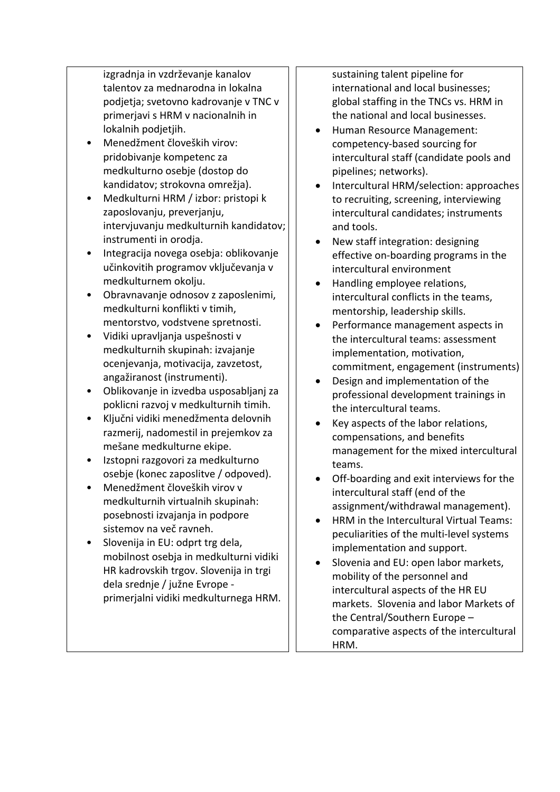izgradnja in vzdrževanje kanalov talentov za mednarodna in lokalna podjetja; svetovno kadrovanje v TNC v primerjavi s HRM v nacionalnih in lokalnih podjetjih.

- Menedžment človeških virov: pridobivanje kompetenc za medkulturno osebje (dostop do kandidatov; strokovna omrežja).
- Medkulturni HRM / izbor: pristopi k zaposlovanju, preverjanju, intervjuvanju medkulturnih kandidatov; instrumenti in orodja.
- Integracija novega osebja: oblikovanje učinkovitih programov vključevanja v medkulturnem okolju.
- Obravnavanje odnosov z zaposlenimi, medkulturni konflikti v timih, mentorstvo, vodstvene spretnosti.
- Vidiki upravljanja uspešnosti v medkulturnih skupinah: izvajanje ocenjevanja, motivacija, zavzetost, angažiranost (instrumenti).
- Oblikovanje in izvedba usposabljanj za poklicni razvoj v medkulturnih timih.
- Ključni vidiki menedžmenta delovnih razmerij, nadomestil in prejemkov za mešane medkulturne ekipe.
- Izstopni razgovori za medkulturno osebje (konec zaposlitve / odpoved).
- Menedžment človeških virov v medkulturnih virtualnih skupinah: posebnosti izvajanja in podpore sistemov na več ravneh.
- Slovenija in EU: odprt trg dela, mobilnost osebja in medkulturni vidiki HR kadrovskih trgov. Slovenija in trgi dela srednje / južne Evrope primerjalni vidiki medkulturnega HRM.

sustaining talent pipeline for international and local businesses; global staffing in the TNCs vs. HRM in the national and local businesses.

- Human Resource Management: competency-based sourcing for intercultural staff (candidate pools and pipelines; networks).
- Intercultural HRM/selection: approaches to recruiting, screening, interviewing intercultural candidates; instruments and tools.
- New staff integration: designing effective on-boarding programs in the intercultural environment
- Handling employee relations, intercultural conflicts in the teams, mentorship, leadership skills.
- Performance management aspects in the intercultural teams: assessment implementation, motivation, commitment, engagement (instruments)
- Design and implementation of the professional development trainings in the intercultural teams.
- Key aspects of the labor relations, compensations, and benefits management for the mixed intercultural teams.
- Off-boarding and exit interviews for the intercultural staff (end of the assignment/withdrawal management).
- HRM in the Intercultural Virtual Teams: peculiarities of the multi-level systems implementation and support.
- Slovenia and EU: open labor markets, mobility of the personnel and intercultural aspects of the HR EU markets. Slovenia and labor Markets of the Central/Southern Europe – comparative aspects of the intercultural HRM.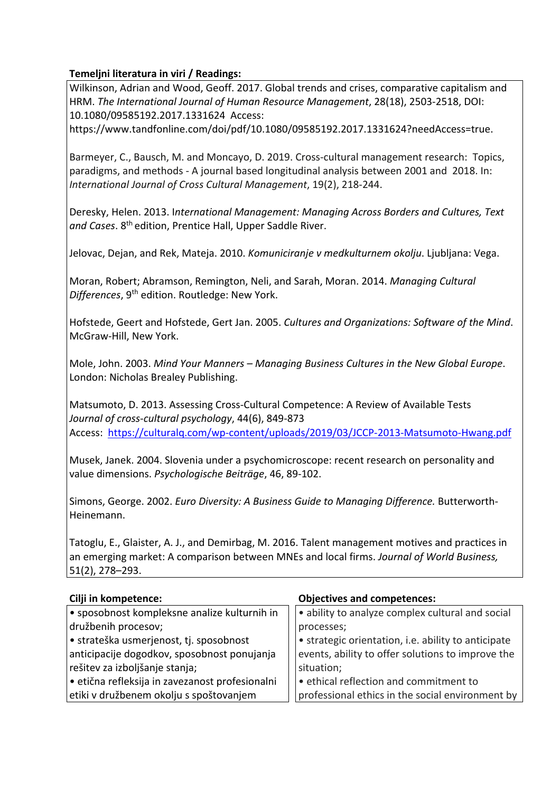## **Temeljni literatura in viri / Readings:**

Wilkinson, Adrian and Wood, Geoff. 2017. Global trends and crises, comparative capitalism and HRM. *The International Journal of Human Resource Management*, 28(18), 2503-2518, DOI: 10.1080/09585192.2017.1331624 Access:

https://www.tandfonline.com/doi/pdf/10.1080/09585192.2017.1331624?needAccess=true.

Barmeyer, C., Bausch, M. and Moncayo, D. 2019. Cross-cultural management research: Topics, paradigms, and methods - A journal based longitudinal analysis between 2001 and 2018. In: *International Journal of Cross Cultural Management*, 19(2), 218-244.

Deresky, Helen. 2013. I*nternational Management: Managing Across Borders and Cultures, Text and Cases*. 8th edition, Prentice Hall, Upper Saddle River.

Jelovac, Dejan, and Rek, Mateja. 2010. *Komuniciranje v medkulturnem okolju*. Ljubljana: Vega.

Moran, Robert; Abramson, Remington, Neli, and Sarah, Moran. 2014. *Managing Cultural Differences*, 9th edition. Routledge: New York.

Hofstede, Geert and Hofstede, Gert Jan. 2005. *Cultures and Organizations: Software of the Mind*. McGraw-Hill, New York.

Mole, John. 2003. *Mind Your Manners – Managing Business Cultures in the New Global Europe*. London: Nicholas Brealey Publishing.

Matsumoto, D. 2013. Assessing Cross-Cultural Competence: A Review of Available Tests *Journal of cross-cultural psychology*, 44(6), 849-873 Access: https://culturalq.com/wp-content/uploads/2019/03/JCCP-2013-Matsumoto-Hwang.pdf

Musek, Janek. 2004. Slovenia under a psychomicroscope: recent research on personality and value dimensions. *Psychologische Beiträge*, 46, 89-102.

Simons, George. 2002. *Euro Diversity: A Business Guide to Managing Difference.* Butterworth-Heinemann.

Tatoglu, E., Glaister, A. J., and Demirbag, M. 2016. Talent management motives and practices in an emerging market: A comparison between MNEs and local firms. *Journal of World Business,* 51(2), 278–293.

| Cilji in kompetence:                          | <b>Objectives and competences:</b>                  |
|-----------------------------------------------|-----------------------------------------------------|
| • sposobnost kompleksne analize kulturnih in  | · ability to analyze complex cultural and social    |
| družbenih procesov;                           | processes;                                          |
| • strateška usmerjenost, tj. sposobnost       | • strategic orientation, i.e. ability to anticipate |
| anticipacije dogodkov, sposobnost ponujanja   | events, ability to offer solutions to improve the   |
| rešitev za izboljšanje stanja;                | situation;                                          |
| etična refleksija in zavezanost profesionalni | • ethical reflection and commitment to              |
| etiki v družbenem okolju s spoštovanjem       | professional ethics in the social environment by    |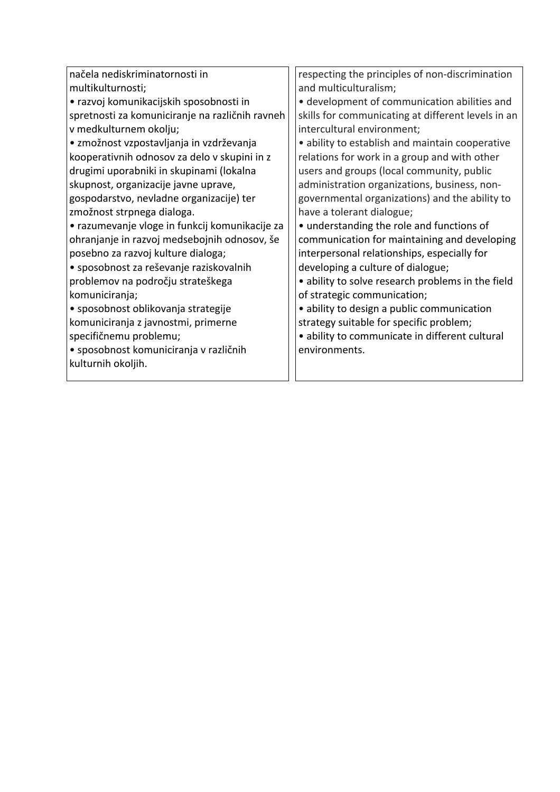| načela nediskriminatornosti in                  |  | respecting the principles of non-discrimination    |  |  |
|-------------------------------------------------|--|----------------------------------------------------|--|--|
| multikulturnosti;                               |  | and multiculturalism;                              |  |  |
| • razvoj komunikacijskih sposobnosti in         |  | • development of communication abilities and       |  |  |
| spretnosti za komuniciranje na različnih ravneh |  | skills for communicating at different levels in an |  |  |
| v medkulturnem okolju;                          |  | intercultural environment;                         |  |  |
| • zmožnost vzpostavljanja in vzdrževanja        |  | • ability to establish and maintain cooperative    |  |  |
| kooperativnih odnosov za delo v skupini in z    |  | relations for work in a group and with other       |  |  |
| drugimi uporabniki in skupinami (lokalna        |  | users and groups (local community, public          |  |  |
| skupnost, organizacije javne uprave,            |  | administration organizations, business, non-       |  |  |
| gospodarstvo, nevladne organizacije) ter        |  | governmental organizations) and the ability to     |  |  |
| zmožnost strpnega dialoga.                      |  | have a tolerant dialogue;                          |  |  |
| • razumevanje vloge in funkcij komunikacije za  |  | • understanding the role and functions of          |  |  |
| ohranjanje in razvoj medsebojnih odnosov, še    |  | communication for maintaining and developing       |  |  |
| posebno za razvoj kulture dialoga;              |  | interpersonal relationships, especially for        |  |  |
| • sposobnost za reševanje raziskovalnih         |  | developing a culture of dialogue;                  |  |  |
| problemov na področju strateškega               |  | • ability to solve research problems in the field  |  |  |
| komuniciranja;                                  |  | of strategic communication;                        |  |  |
| · sposobnost oblikovanja strategije             |  | · ability to design a public communication         |  |  |
| komuniciranja z javnostmi, primerne             |  | strategy suitable for specific problem;            |  |  |
| specifičnemu problemu;                          |  | · ability to communicate in different cultural     |  |  |
| · sposobnost komuniciranja v različnih          |  | environments.                                      |  |  |
| kulturnih okoljih.                              |  |                                                    |  |  |
|                                                 |  |                                                    |  |  |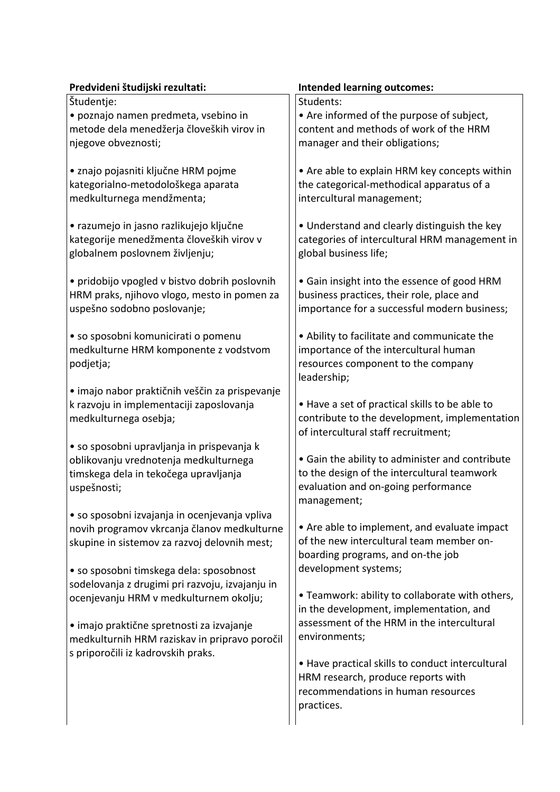| Predvideni študijski rezultati:                 | <b>Intended learning outcomes:</b>                        |
|-------------------------------------------------|-----------------------------------------------------------|
| Študentje:                                      | Students:                                                 |
| · poznajo namen predmeta, vsebino in            | • Are informed of the purpose of subject,                 |
| metode dela menedžerja človeških virov in       | content and methods of work of the HRM                    |
| njegove obveznosti;                             | manager and their obligations;                            |
| • znajo pojasniti ključne HRM pojme             | • Are able to explain HRM key concepts within             |
| kategorialno-metodološkega aparata              | the categorical-methodical apparatus of a                 |
| medkulturnega mendžmenta;                       | intercultural management;                                 |
| • razumejo in jasno razlikujejo ključne         | • Understand and clearly distinguish the key              |
| kategorije menedžmenta človeških virov v        | categories of intercultural HRM management in             |
| globalnem poslovnem življenju;                  | global business life;                                     |
| · pridobijo vpogled v bistvo dobrih poslovnih   | • Gain insight into the essence of good HRM               |
| HRM praks, njihovo vlogo, mesto in pomen za     | business practices, their role, place and                 |
| uspešno sodobno poslovanje;                     | importance for a successful modern business;              |
| · so sposobni komunicirati o pomenu             | • Ability to facilitate and communicate the               |
| medkulturne HRM komponente z vodstvom           | importance of the intercultural human                     |
| podjetja;                                       | resources component to the company                        |
|                                                 | leadership;                                               |
| · imajo nabor praktičnih veščin za prispevanje  |                                                           |
| k razvoju in implementaciji zaposlovanja        | • Have a set of practical skills to be able to            |
| medkulturnega osebja;                           | contribute to the development, implementation             |
| • so sposobni upravljanja in prispevanja k      | of intercultural staff recruitment;                       |
| oblikovanju vrednotenja medkulturnega           | • Gain the ability to administer and contribute           |
| timskega dela in tekočega upravljanja           | to the design of the intercultural teamwork               |
| uspešnosti;                                     | evaluation and on-going performance                       |
|                                                 | management;                                               |
| · so sposobni izvajanja in ocenjevanja vpliva   |                                                           |
| novih programov vkrcanja članov medkulturne     | • Are able to implement, and evaluate impact              |
| skupine in sistemov za razvoj delovnih mest;    | of the new intercultural team member on-                  |
|                                                 | boarding programs, and on-the job<br>development systems; |
| • so sposobni timskega dela: sposobnost         |                                                           |
| sodelovanja z drugimi pri razvoju, izvajanju in | • Teamwork: ability to collaborate with others,           |
| ocenjevanju HRM v medkulturnem okolju;          | in the development, implementation, and                   |
|                                                 | assessment of the HRM in the intercultural                |
| · imajo praktične spretnosti za izvajanje       | environments;                                             |
| medkulturnih HRM raziskav in pripravo poročil   |                                                           |
| s priporočili iz kadrovskih praks.              | • Have practical skills to conduct intercultural          |
|                                                 | HRM research, produce reports with                        |
|                                                 | recommendations in human resources                        |
|                                                 |                                                           |
|                                                 | practices.                                                |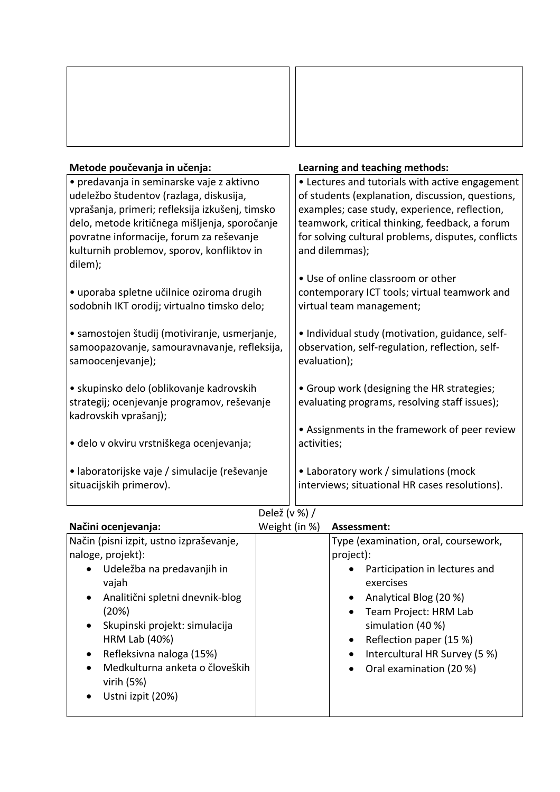| Metode poučevanja in učenja:                                      | Learning and teaching methods:                                  |
|-------------------------------------------------------------------|-----------------------------------------------------------------|
| • predavanja in seminarske vaje z aktivno                         | • Lectures and tutorials with active engagement                 |
| udeležbo študentov (razlaga, diskusija,                           | of students (explanation, discussion, questions,                |
| vprašanja, primeri; refleksija izkušenj, timsko                   | examples; case study, experience, reflection,                   |
| delo, metode kritičnega mišljenja, sporočanje                     | teamwork, critical thinking, feedback, a forum                  |
| povratne informacije, forum za reševanje                          | for solving cultural problems, disputes, conflicts              |
| kulturnih problemov, sporov, konfliktov in                        | and dilemmas);                                                  |
| dilem);                                                           |                                                                 |
|                                                                   | • Use of online classroom or other                              |
| · uporaba spletne učilnice oziroma drugih                         | contemporary ICT tools; virtual teamwork and                    |
| sodobnih IKT orodij; virtualno timsko delo;                       | virtual team management;                                        |
|                                                                   |                                                                 |
| • samostojen študij (motiviranje, usmerjanje,                     | • Individual study (motivation, guidance, self-                 |
| samoopazovanje, samouravnavanje, refleksija,<br>samoocenjevanje); | observation, self-regulation, reflection, self-<br>evaluation); |
|                                                                   |                                                                 |
| • skupinsko delo (oblikovanje kadrovskih                          | • Group work (designing the HR strategies;                      |
| strategij; ocenjevanje programov, reševanje                       | evaluating programs, resolving staff issues);                   |
| kadrovskih vprašanj);                                             |                                                                 |
|                                                                   | • Assignments in the framework of peer review                   |
| · delo v okviru vrstniškega ocenjevanja;                          | activities;                                                     |
|                                                                   |                                                                 |
| • laboratorijske vaje / simulacije (reševanje                     | • Laboratory work / simulations (mock                           |
| situacijskih primerov).                                           | interviews; situational HR cases resolutions).                  |
|                                                                   |                                                                 |

# Delež (v %) /

| Načini ocenjevanja:                          | Weight (in %) | Assessment:                                |
|----------------------------------------------|---------------|--------------------------------------------|
| Način (pisni izpit, ustno izpraševanje,      |               | Type (examination, oral, coursework,       |
| naloge, projekt):                            |               | project):                                  |
| Udeležba na predavanjih in<br>$\bullet$      |               | Participation in lectures and              |
| vajah                                        |               | exercises                                  |
| Analitični spletni dnevnik-blog<br>$\bullet$ |               | Analytical Blog (20 %)                     |
| (20%)                                        |               | Team Project: HRM Lab                      |
| Skupinski projekt: simulacija<br>$\bullet$   |               | simulation (40 %)                          |
| HRM Lab (40%)                                |               | Reflection paper (15 %)                    |
| Refleksivna naloga (15%)<br>$\bullet$        |               | Intercultural HR Survey (5 %)<br>$\bullet$ |
| Medkulturna anketa o človeških<br>$\bullet$  |               | Oral examination (20 %)                    |
| virih $(5%)$                                 |               |                                            |
| Ustni izpit (20%)                            |               |                                            |
|                                              |               |                                            |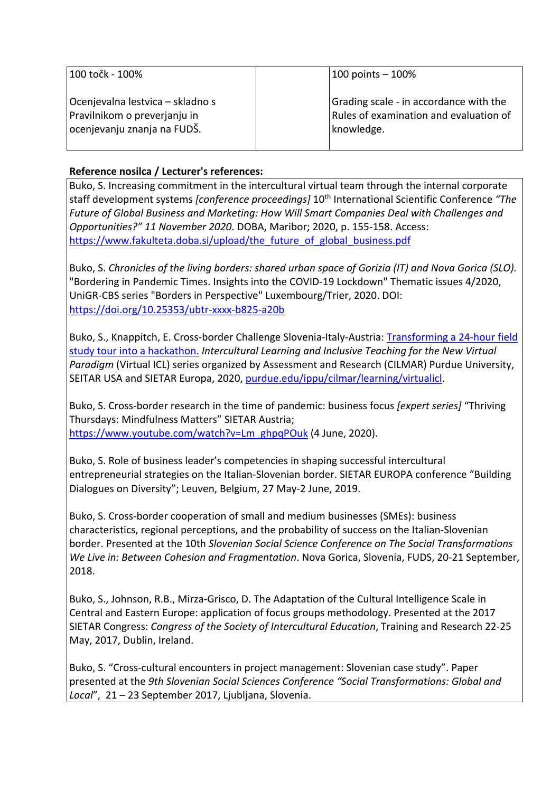| 100 točk - 100%                  | $100$ points $-100%$                   |
|----------------------------------|----------------------------------------|
| Ocenjevalna lestvica – skladno s | Grading scale - in accordance with the |
| Pravilnikom o preverjanju in     | Rules of examination and evaluation of |
| ocenjevanju znanja na FUDŠ.      | knowledge.                             |

# **Reference nosilca / Lecturer's references:**

Buko, S. Increasing commitment in the intercultural virtual team through the internal corporate staff development systems *[conference proceedings]* 10th International Scientific Conference *"The Future of Global Business and Marketing: How Will Smart Companies Deal with Challenges and Opportunities?" 11 November 2020*. DOBA, Maribor; 2020, p. 155-158. Access: https://www.fakulteta.doba.si/upload/the\_future\_of\_global\_business.pdf

Buko, S. *Chronicles of the living borders: shared urban space of Gorizia (IT) and Nova Gorica (SLO).* "Bordering in Pandemic Times. Insights into the COVID-19 Lockdown" Thematic issues 4/2020, UniGR-CBS series "Borders in Perspective" Luxembourg/Trier, 2020. DOI: https://doi.org/10.25353/ubtr-xxxx-b825-a20b

Buko, S., Knappitch, E. Cross-border Challenge Slovenia-Italy-Austria: Transforming a 24-hour field study tour into a hackathon. *Intercultural Learning and Inclusive Teaching for the New Virtual Paradigm* (Virtual ICL) series organized by Assessment and Research (CILMAR) Purdue University, SEITAR USA and SIETAR Europa, 2020, purdue.edu/ippu/cilmar/learning/virtualicl.

Buko, S. Cross-border research in the time of pandemic: business focus *[expert series]* "Thriving Thursdays: Mindfulness Matters" SIETAR Austria; https://www.youtube.com/watch?v=Lm\_ghpqPOuk (4 June, 2020).

Buko, S. Role of business leader's competencies in shaping successful intercultural entrepreneurial strategies on the Italian-Slovenian border. SIETAR EUROPA conference "Building Dialogues on Diversity"; Leuven, Belgium, 27 May-2 June, 2019.

Buko, S. Cross-border cooperation of small and medium businesses (SMEs): business characteristics, regional perceptions, and the probability of success on the Italian-Slovenian border. Presented at the 10th *Slovenian Social Science Conference on The Social Transformations We Live in: Between Cohesion and Fragmentation*. Nova Gorica, Slovenia, FUDS, 20-21 September, 2018.

Buko, S., Johnson, R.B., Mirza-Grisco, D. The Adaptation of the Cultural Intelligence Scale in Central and Eastern Europe: application of focus groups methodology. Presented at the 2017 SIETAR Congress: *Congress of the Society of Intercultural Education*, Training and Research 22-25 May, 2017, Dublin, Ireland.

Buko, S. "Cross-cultural encounters in project management: Slovenian case study". Paper presented at the *9th Slovenian Social Sciences Conference "Social Transformations: Global and Local*", 21 – 23 September 2017, Ljubljana, Slovenia.